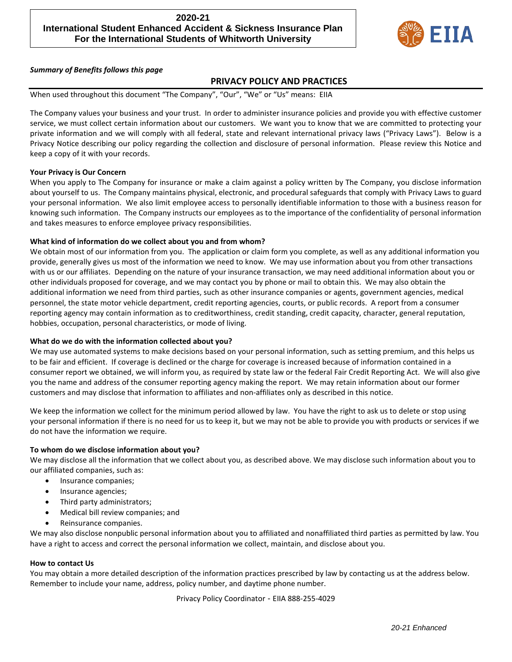# **2020-21 International Student Enhanced Accident & Sickness Insurance Plan For the International Students of Whitworth University**



### *Summary of Benefits follows this page*

## **PRIVACY POLICY AND PRACTICES**

When used throughout this document "The Company", "Our", "We" or "Us" means: EIIA

The Company values your business and your trust. In order to administer insurance policies and provide you with effective customer service, we must collect certain information about our customers. We want you to know that we are committed to protecting your private information and we will comply with all federal, state and relevant international privacy laws ("Privacy Laws"). Below is a Privacy Notice describing our policy regarding the collection and disclosure of personal information. Please review this Notice and keep a copy of it with your records.

### **Your Privacy is Our Concern**

When you apply to The Company for insurance or make a claim against a policy written by The Company, you disclose information about yourself to us. The Company maintains physical, electronic, and procedural safeguards that comply with Privacy Laws to guard your personal information. We also limit employee access to personally identifiable information to those with a business reason for knowing such information. The Company instructs our employees as to the importance of the confidentiality of personal information and takes measures to enforce employee privacy responsibilities.

### **What kind of information do we collect about you and from whom?**

We obtain most of our information from you. The application or claim form you complete, as well as any additional information you provide, generally gives us most of the information we need to know. We may use information about you from other transactions with us or our affiliates. Depending on the nature of your insurance transaction, we may need additional information about you or other individuals proposed for coverage, and we may contact you by phone or mail to obtain this. We may also obtain the additional information we need from third parties, such as other insurance companies or agents, government agencies, medical personnel, the state motor vehicle department, credit reporting agencies, courts, or public records. A report from a consumer reporting agency may contain information as to creditworthiness, credit standing, credit capacity, character, general reputation, hobbies, occupation, personal characteristics, or mode of living.

#### **What do we do with the information collected about you?**

We may use automated systems to make decisions based on your personal information, such as setting premium, and this helps us to be fair and efficient. If coverage is declined or the charge for coverage is increased because of information contained in a consumer report we obtained, we will inform you, as required by state law or the federal Fair Credit Reporting Act. We will also give you the name and address of the consumer reporting agency making the report. We may retain information about our former customers and may disclose that information to affiliates and non-affiliates only as described in this notice.

We keep the information we collect for the minimum period allowed by law. You have the right to ask us to delete or stop using your personal information if there is no need for us to keep it, but we may not be able to provide you with products or services if we do not have the information we require.

#### **To whom do we disclose information about you?**

We may disclose all the information that we collect about you, as described above. We may disclose such information about you to our affiliated companies, such as:

- Insurance companies;
- Insurance agencies;
- Third party administrators;
- Medical bill review companies; and
- Reinsurance companies.

We may also disclose nonpublic personal information about you to affiliated and nonaffiliated third parties as permitted by law. You have a right to access and correct the personal information we collect, maintain, and disclose about you.

#### **How to contact Us**

You may obtain a more detailed description of the information practices prescribed by law by contacting us at the address below. Remember to include your name, address, policy number, and daytime phone number.

Privacy Policy Coordinator - EIIA 888-255-4029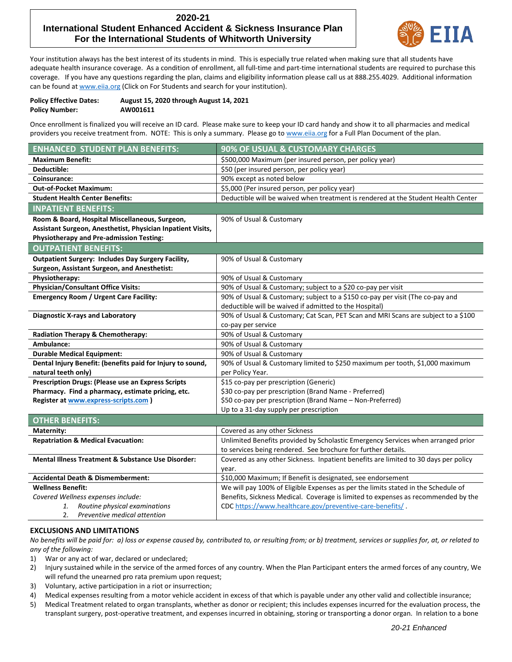# **2020-21 International Student Enhanced Accident & Sickness Insurance Plan For the International Students of Whitworth University**



Your institution always has the best interest of its students in mind. This is especially true related when making sure that all students have adequate health insurance coverage. As a condition of enrollment, all full-time and part-time international students are required to purchase this coverage. If you have any questions regarding the plan, claims and eligibility information please call us at 888.255.4029. Additional information can be found at www.eija.org (Click on For Students and search for your institution).

| <b>Policy Effective Dates:</b> | August 15, 2020 through August 14, 2021 |
|--------------------------------|-----------------------------------------|
| <b>Policy Number:</b>          | AW001611                                |

Once enrollment is finalized you will receive an ID card. Please make sure to keep your ID card handy and show it to all pharmacies and medical providers you receive treatment from. NOTE: This is only a summary. Please go t[o www.eiia.org](http://www.eiia.org/) for a Full Plan Document of the plan.

| <b>ENHANCED STUDENT PLAN BENEFITS:</b>                      | 90% OF USUAL & CUSTOMARY CHARGES                                                    |
|-------------------------------------------------------------|-------------------------------------------------------------------------------------|
| <b>Maximum Benefit:</b>                                     | \$500,000 Maximum (per insured person, per policy year)                             |
| Deductible:                                                 | \$50 (per insured person, per policy year)                                          |
| Coinsurance:                                                | 90% except as noted below                                                           |
| Out-of-Pocket Maximum:                                      | \$5,000 (Per insured person, per policy year)                                       |
| <b>Student Health Center Benefits:</b>                      | Deductible will be waived when treatment is rendered at the Student Health Center   |
| <b>INPATIENT BENEFITS:</b>                                  |                                                                                     |
| Room & Board, Hospital Miscellaneous, Surgeon,              | 90% of Usual & Customary                                                            |
| Assistant Surgeon, Anesthetist, Physician Inpatient Visits, |                                                                                     |
| <b>Physiotherapy and Pre-admission Testing:</b>             |                                                                                     |
| <b>OUTPATIENT BENEFITS:</b>                                 |                                                                                     |
| <b>Outpatient Surgery: Includes Day Surgery Facility,</b>   | 90% of Usual & Customary                                                            |
| Surgeon, Assistant Surgeon, and Anesthetist:                |                                                                                     |
| Physiotherapy:                                              | 90% of Usual & Customary                                                            |
| Physician/Consultant Office Visits:                         | 90% of Usual & Customary; subject to a \$20 co-pay per visit                        |
| <b>Emergency Room / Urgent Care Facility:</b>               | 90% of Usual & Customary; subject to a \$150 co-pay per visit (The co-pay and       |
|                                                             | deductible will be waived if admitted to the Hospital)                              |
| <b>Diagnostic X-rays and Laboratory</b>                     | 90% of Usual & Customary; Cat Scan, PET Scan and MRI Scans are subject to a \$100   |
|                                                             | co-pay per service                                                                  |
| Radiation Therapy & Chemotherapy:                           | 90% of Usual & Customary                                                            |
| Ambulance:                                                  | 90% of Usual & Customary                                                            |
| <b>Durable Medical Equipment:</b>                           | 90% of Usual & Customary                                                            |
| Dental Injury Benefit: (benefits paid for Injury to sound,  | 90% of Usual & Customary limited to \$250 maximum per tooth, \$1,000 maximum        |
| natural teeth only)                                         | per Policy Year.                                                                    |
| <b>Prescription Drugs: (Please use an Express Scripts</b>   | \$15 co-pay per prescription (Generic)                                              |
| Pharmacy. Find a pharmacy, estimate pricing, etc.           | \$30 co-pay per prescription (Brand Name - Preferred)                               |
| Register at www.express-scripts.com )                       | \$50 co-pay per prescription (Brand Name - Non-Preferred)                           |
|                                                             | Up to a 31-day supply per prescription                                              |
| <b>OTHER BENEFITS:</b>                                      |                                                                                     |
| Maternity:                                                  | Covered as any other Sickness                                                       |
| <b>Repatriation &amp; Medical Evacuation:</b>               | Unlimited Benefits provided by Scholastic Emergency Services when arranged prior    |
|                                                             | to services being rendered. See brochure for further details.                       |
| Mental Illness Treatment & Substance Use Disorder:          | Covered as any other Sickness. Inpatient benefits are limited to 30 days per policy |
|                                                             | year.                                                                               |
| <b>Accidental Death &amp; Dismemberment:</b>                | \$10,000 Maximum; If Benefit is designated, see endorsement                         |
| <b>Wellness Benefit:</b>                                    | We will pay 100% of Eligible Expenses as per the limits stated in the Schedule of   |
| Covered Wellness expenses include:                          | Benefits, Sickness Medical. Coverage is limited to expenses as recommended by the   |
| Routine physical examinations<br>1.                         | CDC https://www.healthcare.gov/preventive-care-benefits/.                           |

2. *Preventive medical attention*

## **EXCLUSIONS AND LIMITATIONS**

*No benefits will be paid for: a) loss or expense caused by, contributed to, or resulting from; or b) treatment, services or supplies for, at, or related to any of the following:*

- 1) War or any act of war, declared or undeclared;
- 2) Injury sustained while in the service of the armed forces of any country. When the Plan Participant enters the armed forces of any country, We will refund the unearned pro rata premium upon request;
- 3) Voluntary, active participation in a riot or insurrection;
- 4) Medical expenses resulting from a motor vehicle accident in excess of that which is payable under any other valid and collectible insurance;
- 5) Medical Treatment related to organ transplants, whether as donor or recipient; this includes expenses incurred for the evaluation process, the transplant surgery, post-operative treatment, and expenses incurred in obtaining, storing or transporting a donor organ. In relation to a bone